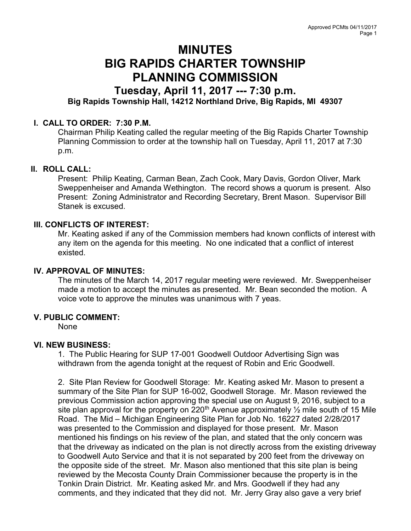# MINUTES BIG RAPIDS CHARTER TOWNSHIP PLANNING COMMISSION

# Tuesday, April 11, 2017 --- 7:30 p.m. Big Rapids Township Hall, 14212 Northland Drive, Big Rapids, MI 49307

# I. CALL TO ORDER: 7:30 P.M.

Chairman Philip Keating called the regular meeting of the Big Rapids Charter Township Planning Commission to order at the township hall on Tuesday, April 11, 2017 at 7:30 p.m.

## II. ROLL CALL:

Present: Philip Keating, Carman Bean, Zach Cook, Mary Davis, Gordon Oliver, Mark Sweppenheiser and Amanda Wethington. The record shows a quorum is present. Also Present: Zoning Administrator and Recording Secretary, Brent Mason. Supervisor Bill Stanek is excused.

## III. CONFLICTS OF INTEREST:

Mr. Keating asked if any of the Commission members had known conflicts of interest with any item on the agenda for this meeting. No one indicated that a conflict of interest existed.

## IV. APPROVAL OF MINUTES:

The minutes of the March 14, 2017 regular meeting were reviewed. Mr. Sweppenheiser made a motion to accept the minutes as presented. Mr. Bean seconded the motion. A voice vote to approve the minutes was unanimous with 7 yeas.

#### V. PUBLIC COMMENT:

None

#### VI. NEW BUSINESS:

1. The Public Hearing for SUP 17-001 Goodwell Outdoor Advertising Sign was withdrawn from the agenda tonight at the request of Robin and Eric Goodwell.

2. Site Plan Review for Goodwell Storage: Mr. Keating asked Mr. Mason to present a summary of the Site Plan for SUP 16-002, Goodwell Storage. Mr. Mason reviewed the previous Commission action approving the special use on August 9, 2016, subject to a site plan approval for the property on 220<sup>th</sup> Avenue approximately  $\frac{1}{2}$  mile south of 15 Mile Road. The Mid – Michigan Engineering Site Plan for Job No. 16227 dated 2/28/2017 was presented to the Commission and displayed for those present. Mr. Mason mentioned his findings on his review of the plan, and stated that the only concern was that the driveway as indicated on the plan is not directly across from the existing driveway to Goodwell Auto Service and that it is not separated by 200 feet from the driveway on the opposite side of the street. Mr. Mason also mentioned that this site plan is being reviewed by the Mecosta County Drain Commissioner because the property is in the Tonkin Drain District. Mr. Keating asked Mr. and Mrs. Goodwell if they had any comments, and they indicated that they did not. Mr. Jerry Gray also gave a very brief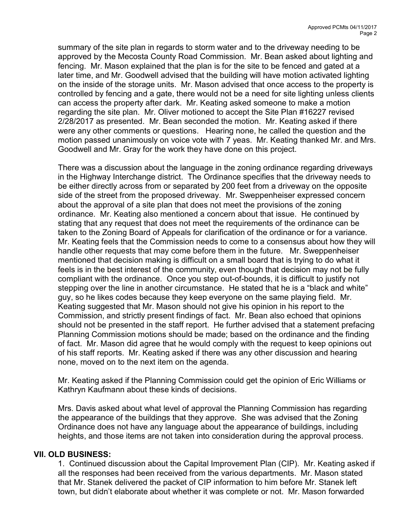summary of the site plan in regards to storm water and to the driveway needing to be approved by the Mecosta County Road Commission. Mr. Bean asked about lighting and fencing. Mr. Mason explained that the plan is for the site to be fenced and gated at a later time, and Mr. Goodwell advised that the building will have motion activated lighting on the inside of the storage units. Mr. Mason advised that once access to the property is controlled by fencing and a gate, there would not be a need for site lighting unless clients can access the property after dark. Mr. Keating asked someone to make a motion regarding the site plan. Mr. Oliver motioned to accept the Site Plan #16227 revised 2/28/2017 as presented. Mr. Bean seconded the motion. Mr. Keating asked if there were any other comments or questions. Hearing none, he called the question and the motion passed unanimously on voice vote with 7 yeas. Mr. Keating thanked Mr. and Mrs. Goodwell and Mr. Gray for the work they have done on this project.

There was a discussion about the language in the zoning ordinance regarding driveways in the Highway Interchange district. The Ordinance specifies that the driveway needs to be either directly across from or separated by 200 feet from a driveway on the opposite side of the street from the proposed driveway. Mr. Sweppenheiser expressed concern about the approval of a site plan that does not meet the provisions of the zoning ordinance. Mr. Keating also mentioned a concern about that issue. He continued by stating that any request that does not meet the requirements of the ordinance can be taken to the Zoning Board of Appeals for clarification of the ordinance or for a variance. Mr. Keating feels that the Commission needs to come to a consensus about how they will handle other requests that may come before them in the future. Mr. Sweppenheiser mentioned that decision making is difficult on a small board that is trying to do what it feels is in the best interest of the community, even though that decision may not be fully compliant with the ordinance. Once you step out-of-bounds, it is difficult to justify not stepping over the line in another circumstance. He stated that he is a "black and white" guy, so he likes codes because they keep everyone on the same playing field. Mr. Keating suggested that Mr. Mason should not give his opinion in his report to the Commission, and strictly present findings of fact. Mr. Bean also echoed that opinions should not be presented in the staff report. He further advised that a statement prefacing Planning Commission motions should be made; based on the ordinance and the finding of fact. Mr. Mason did agree that he would comply with the request to keep opinions out of his staff reports. Mr. Keating asked if there was any other discussion and hearing none, moved on to the next item on the agenda.

Mr. Keating asked if the Planning Commission could get the opinion of Eric Williams or Kathryn Kaufmann about these kinds of decisions.

Mrs. Davis asked about what level of approval the Planning Commission has regarding the appearance of the buildings that they approve. She was advised that the Zoning Ordinance does not have any language about the appearance of buildings, including heights, and those items are not taken into consideration during the approval process.

## VII. OLD BUSINESS:

1. Continued discussion about the Capital Improvement Plan (CIP). Mr. Keating asked if all the responses had been received from the various departments. Mr. Mason stated that Mr. Stanek delivered the packet of CIP information to him before Mr. Stanek left town, but didn't elaborate about whether it was complete or not. Mr. Mason forwarded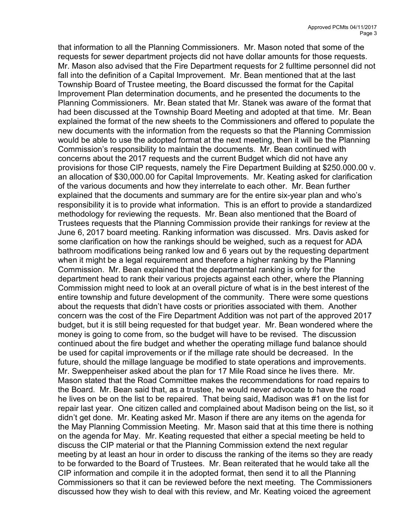that information to all the Planning Commissioners. Mr. Mason noted that some of the requests for sewer department projects did not have dollar amounts for those requests. Mr. Mason also advised that the Fire Department requests for 2 fulltime personnel did not fall into the definition of a Capital Improvement. Mr. Bean mentioned that at the last Township Board of Trustee meeting, the Board discussed the format for the Capital Improvement Plan determination documents, and he presented the documents to the Planning Commissioners. Mr. Bean stated that Mr. Stanek was aware of the format that had been discussed at the Township Board Meeting and adopted at that time. Mr. Bean explained the format of the new sheets to the Commissioners and offered to populate the new documents with the information from the requests so that the Planning Commission would be able to use the adopted format at the next meeting, then it will be the Planning Commission's responsibility to maintain the documents. Mr. Bean continued with concerns about the 2017 requests and the current Budget which did not have any provisions for those CIP requests, namely the Fire Department Building at \$250.000.00 v. an allocation of \$30,000.00 for Capital Improvements. Mr. Keating asked for clarification of the various documents and how they interrelate to each other. Mr. Bean further explained that the documents and summary are for the entire six-year plan and who's responsibility it is to provide what information. This is an effort to provide a standardized methodology for reviewing the requests. Mr. Bean also mentioned that the Board of Trustees requests that the Planning Commission provide their rankings for review at the June 6, 2017 board meeting. Ranking information was discussed. Mrs. Davis asked for some clarification on how the rankings should be weighed, such as a request for ADA bathroom modifications being ranked low and 6 years out by the requesting department when it might be a legal requirement and therefore a higher ranking by the Planning Commission. Mr. Bean explained that the departmental ranking is only for the department head to rank their various projects against each other, where the Planning Commission might need to look at an overall picture of what is in the best interest of the entire township and future development of the community. There were some questions about the requests that didn't have costs or priorities associated with them. Another concern was the cost of the Fire Department Addition was not part of the approved 2017 budget, but it is still being requested for that budget year. Mr. Bean wondered where the money is going to come from, so the budget will have to be revised. The discussion continued about the fire budget and whether the operating millage fund balance should be used for capital improvements or if the millage rate should be decreased. In the future, should the millage language be modified to state operations and improvements. Mr. Sweppenheiser asked about the plan for 17 Mile Road since he lives there. Mr. Mason stated that the Road Committee makes the recommendations for road repairs to the Board. Mr. Bean said that, as a trustee, he would never advocate to have the road he lives on be on the list to be repaired. That being said, Madison was #1 on the list for repair last year. One citizen called and complained about Madison being on the list, so it didn't get done. Mr. Keating asked Mr. Mason if there are any items on the agenda for the May Planning Commission Meeting. Mr. Mason said that at this time there is nothing on the agenda for May. Mr. Keating requested that either a special meeting be held to discuss the CIP material or that the Planning Commission extend the next regular meeting by at least an hour in order to discuss the ranking of the items so they are ready to be forwarded to the Board of Trustees. Mr. Bean reiterated that he would take all the CIP information and compile it in the adopted format, then send it to all the Planning Commissioners so that it can be reviewed before the next meeting. The Commissioners discussed how they wish to deal with this review, and Mr. Keating voiced the agreement